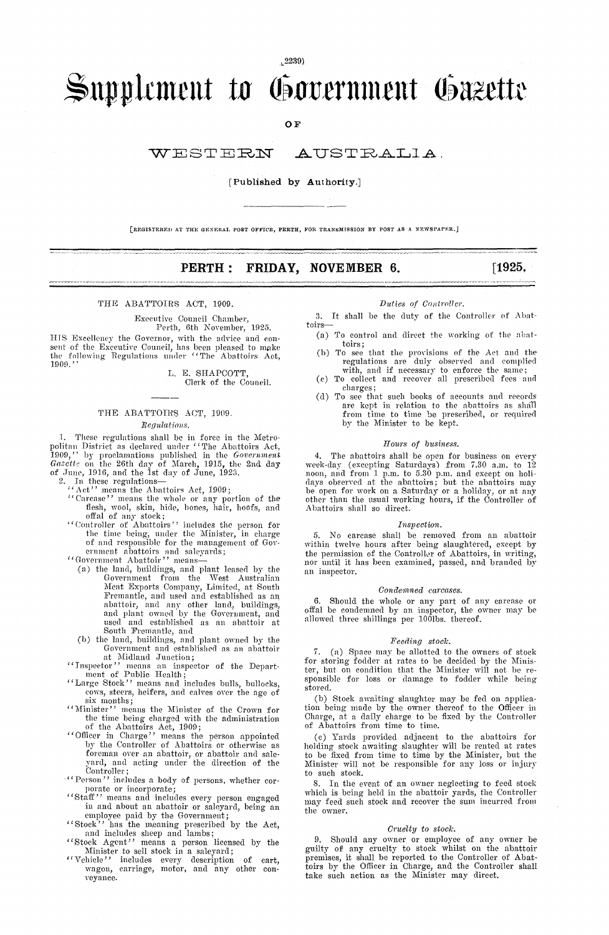L2239)

# $\rightarrow$ upplement to Government Gazette Went to Concernment ( **PERTH: FRIDAY, NOVEMBER 6.**<br>
NOT AUSTRAIN<br>
PUBLISHED DY AUTHOTITY.]<br>
PERTH: FRIDAY, NOVEMBER 6.<br>
ACT, 1909.<br>
PUBLISHED DULEY AUTHORY.

OF

## **[Published by Authority.]**

[REGISTERED AT THE GENERAL POST OFFICE, PERTH, FOR TRANSMISSION BY POST AS A NEWSPAPER.]

**[1925.**

### THE ABATTOTRS ACT, 1909.

Executive Council Chamber, Perth, 6th November, 1925.

HIS lfxeelIemy the Governor, with the advice and con-

sent of the Executive Council, has been pleased to make the following Regulations under 'The Abattoirs Act, 1909.'' L. E. SHAPCOTT,

Clerk of the Council.

# THE ABATTOIRS ACT, 1909. *Regulations.*

1. These regulations shall be in force in the Metro-<br>politan District as declared under "The Abattoirs Act, 1909," by proclamations published in the *Government Garettv* on the 26th clay of March, 1915, the 2nd day of June, 1916, and the 1st day of June, 1923.<br>
2. In these regulations—<br>
"Act" means the Abattoirs Act, 1909;

- 
- "Carease" ' means the whole or any portion of the flesh, wool, skin, hide, bones, hair, hoofs, and offal of any stock;
- "Controller of Abattoirs" ' includes the person for the time being, under the Minister, in charge of and responsible for the management of Government abattoirs and saleyards;
- 
- "Government Abattoir" ' means (a) the land, buildings, and plant leased by the Government from the West Australian Meat Exports Company, Limited, at South Fremantle, and used and established as an abattoir, and any other land, buildings, and plant owned by the Government, and used and established as an abattoir at South Fremantle, and (b) the land, buildings, and plant owned by the
- Government and established as an abattoir at Midland Junction;<br>"Inspector" means an insurance
- "Ttispector" means an inspector of the Depart-ment of Public Health "Large Stock" ' means and includes bulls, bullocks,
- cows, steers, heifers, and calves over the age of
- six months; "Minister" means the Minister of the Crown for the time being charged with the administration of the Abattoirs Act, 1909;
- "Officer in Charge" means the person appointed by the Controller of Abattoirs or otherwise as foreman over an abattoir, or abattoir and sale-yard, and acting under the direction of the Controller;
- "Person" includes a body of persons, whether cor-
- porate or incorporate; "Staff" means and includes every person engaged in and about an abattoir or saleyard, being an employee paid by the Government; "Stock" has the meaning prescribed by the Act,
- and includes sheep and lambs; "Stock Agent" means a person licensed by the
- 
- Minister to sell stock in a saleyard; "Vehicle" includes every description of cart, wagon, carriage, motor, and any other conveyance.

### *Duties of Controller*

3. It shall be the duty of the Controller of Abattoirs

- (a) To control and direct the working of the abattoirs; (b) To see that the provisions of the Act and the
- regulations are duly observed and complied with, and if necessary to enforce the same; (c) To collect and recover all prescribed fees and
- charges;
- (d) To see that such books of accounts and records are kept in relation to the abattoirs as shall from time to time be prescribed, or required by the Minister to be kept.

### *Hours of business.*

4. The abattoirs shall be open for business on every week-day (excepting Saturdays) from 7.30 a.m. to 12 noon, and from 1 p.m. to 5.30 p.m. and except on holi-days observed at the abattoirs; but the abattoirs may be open for work on a Saturday or a holiday, or at any other than the usual working hours, if the Controller of Abattoirs shall so direct.

### *Inspect ion.*

5. No carcase shall be removed from an abattoir within twelve hours after being slaughtered, except by the permission of the Controller of Abattoirs, in writing, nor until it has been examined, passed, and branded by an inspector.

### $Condemned$  *carcases.*

6. Should the whole or any part of any carease or offal be condemned by an inspector, the owner may be allowed three shillings per  $10\bar{0}$ lbs. thereof.

### *Feeding stock*

7. (a) Space may be allotted to the owners of stock for storing fodder at rates to be decided by the Minister, but on condition that the Minister will not be responsible for loss or damage to fodder while being store([.

(b) Stock awaiting slaughter may be fed on application being made by the owner thereof to the Officer in Charge, at a daily charge to be fixed by the Controller of Abattoirs from time to time.

(e) Yards provided adjacent to the abattoirs for holding stock awaiting slaughter will be rented at rates to be fixed from time to time by the Minister, but the Minister will not be responsible for any loss or injury to such stock.

8. In the event of an owner neglecting to feed stock which is being held in the abattoir yards, the Controller may feed such stock and recover the sum incurred from the owner.

### *Cruelty to stock*

9. Should any owner or employee of any owner be guilty of any cruelty to stock whilst on the abattoir premises, it shall be reported to the Controller of Abattoirs by the Officer in Charge, and the Controller shall take such action as the Minister may direct.